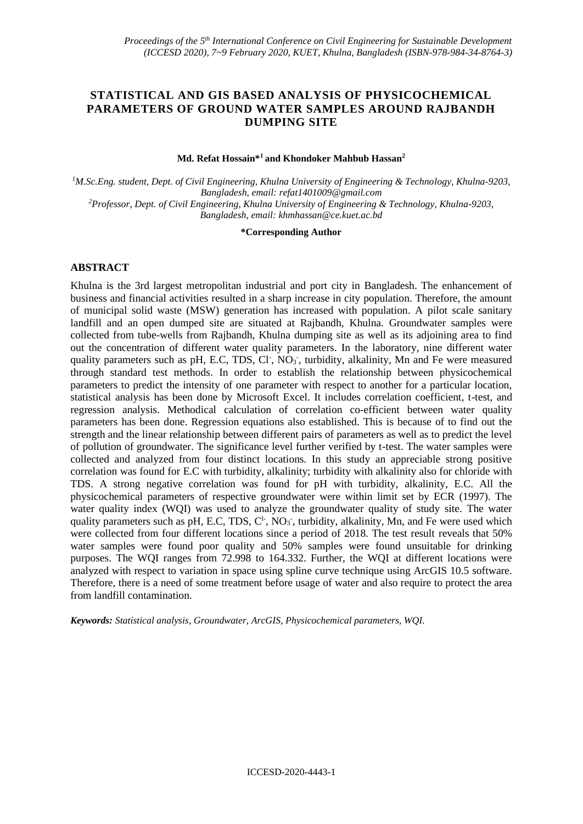# **STATISTICAL AND GIS BASED ANALYSIS OF PHYSICOCHEMICAL PARAMETERS OF GROUND WATER SAMPLES AROUND RAJBANDH DUMPING SITE**

### **Md. Refat Hossain\*<sup>1</sup>and Khondoker Mahbub Hassan<sup>2</sup>**

*<sup>1</sup>M.Sc.Eng. student, Dept. of Civil Engineering, Khulna University of Engineering & Technology, Khulna-9203, Bangladesh, email: refat1401009@gmail.com <sup>2</sup>Professor, Dept. of Civil Engineering, Khulna University of Engineering & Technology, Khulna-9203, Bangladesh, email: khmhassan@ce.kuet.ac.bd*

#### **\*Corresponding Author**

# **ABSTRACT**

Khulna is the 3rd largest metropolitan industrial and port city in Bangladesh. The enhancement of business and financial activities resulted in a sharp increase in city population. Therefore, the amount of municipal solid waste (MSW) generation has increased with population. A pilot scale sanitary landfill and an open dumped site are situated at Rajbandh, Khulna. Groundwater samples were collected from tube-wells from Rajbandh, Khulna dumping site as well as its adjoining area to find out the concentration of different water quality parameters. In the laboratory, nine different water quality parameters such as pH, E.C, TDS, Cl<sup>-</sup>, NO<sub>3</sub><sup>-</sup>, turbidity, alkalinity, Mn and Fe were measured through standard test methods. In order to establish the relationship between physicochemical parameters to predict the intensity of one parameter with respect to another for a particular location, statistical analysis has been done by Microsoft Excel. It includes correlation coefficient, t-test, and regression analysis. Methodical calculation of correlation co-efficient between water quality parameters has been done. Regression equations also established. This is because of to find out the strength and the linear relationship between different pairs of parameters as well as to predict the level of pollution of groundwater. The significance level further verified by t-test. The water samples were collected and analyzed from four distinct locations. In this study an appreciable strong positive correlation was found for E.C with turbidity, alkalinity; turbidity with alkalinity also for chloride with TDS. A strong negative correlation was found for pH with turbidity, alkalinity, E.C. All the physicochemical parameters of respective groundwater were within limit set by ECR (1997). The water quality index (WQI) was used to analyze the groundwater quality of study site. The water quality parameters such as pH, E.C, TDS,  $C^1$ , NO<sub>3</sub><sup>-</sup>, turbidity, alkalinity, Mn, and Fe were used which were collected from four different locations since a period of 2018. The test result reveals that 50% water samples were found poor quality and 50% samples were found unsuitable for drinking purposes. The WQI ranges from 72.998 to 164.332. Further, the WQI at different locations were analyzed with respect to variation in space using spline curve technique using ArcGIS 10.5 software. Therefore, there is a need of some treatment before usage of water and also require to protect the area from landfill contamination.

*Keywords: Statistical analysis, Groundwater, ArcGIS, Physicochemical parameters, WQI.*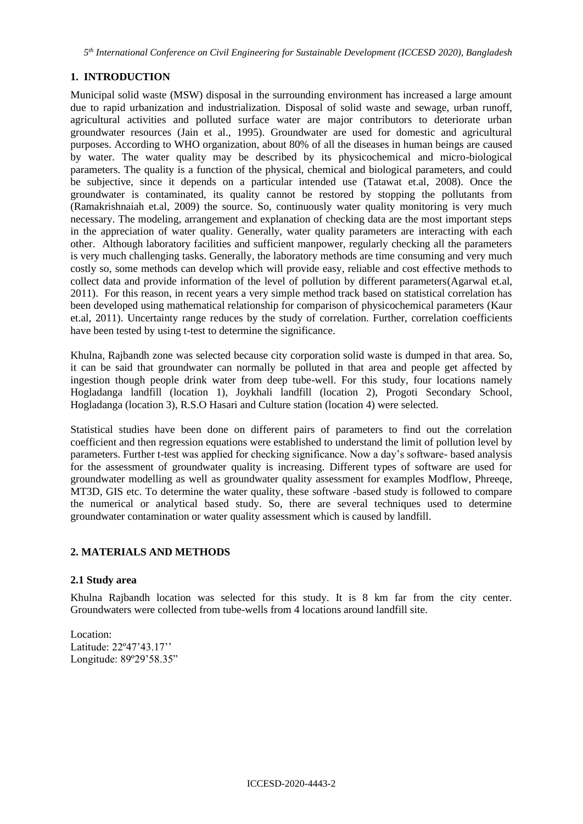*5 th International Conference on Civil Engineering for Sustainable Development (ICCESD 2020), Bangladesh*

# **1. INTRODUCTION**

Municipal solid waste (MSW) disposal in the surrounding environment has increased a large amount due to rapid urbanization and industrialization. Disposal of solid waste and sewage, urban runoff, agricultural activities and polluted surface water are major contributors to deteriorate urban groundwater resources (Jain et al., 1995). Groundwater are used for domestic and agricultural purposes. According to WHO organization, about 80% of all the diseases in human beings are caused by water. The water quality may be described by its physicochemical and micro-biological parameters. The quality is a function of the physical, chemical and biological parameters, and could be subjective, since it depends on a particular intended use (Tatawat et.al, 2008). Once the groundwater is contaminated, its quality cannot be restored by stopping the pollutants from (Ramakrishnaiah et.al, 2009) the source. So, continuously water quality monitoring is very much necessary. The modeling, arrangement and explanation of checking data are the most important steps in the appreciation of water quality. Generally, water quality parameters are interacting with each other. Although laboratory facilities and sufficient manpower, regularly checking all the parameters is very much challenging tasks. Generally, the laboratory methods are time consuming and very much costly so, some methods can develop which will provide easy, reliable and cost effective methods to collect data and provide information of the level of pollution by different parameters(Agarwal et.al, 2011). For this reason, in recent years a very simple method track based on statistical correlation has been developed using mathematical relationship for comparison of physicochemical parameters (Kaur et.al, 2011). Uncertainty range reduces by the study of correlation. Further, correlation coefficients have been tested by using t-test to determine the significance.

Khulna, Rajbandh zone was selected because city corporation solid waste is dumped in that area. So, it can be said that groundwater can normally be polluted in that area and people get affected by ingestion though people drink water from deep tube-well. For this study, four locations namely Hogladanga landfill (location 1), Joykhali landfill (location 2), Progoti Secondary School, Hogladanga (location 3), R.S.O Hasari and Culture station (location 4) were selected.

Statistical studies have been done on different pairs of parameters to find out the correlation coefficient and then regression equations were established to understand the limit of pollution level by parameters. Further t-test was applied for checking significance. Now a day's software- based analysis for the assessment of groundwater quality is increasing. Different types of software are used for groundwater modelling as well as groundwater quality assessment for examples Modflow, Phreeqe, MT3D, GIS etc. To determine the water quality, these software -based study is followed to compare the numerical or analytical based study. So, there are several techniques used to determine groundwater contamination or water quality assessment which is caused by landfill.

# **2. MATERIALS AND METHODS**

# **2.1 Study area**

Khulna Rajbandh location was selected for this study. It is 8 km far from the city center. Groundwaters were collected from tube-wells from 4 locations around landfill site.

Location: Latitude: 22º47'43.17'' Longitude: 89º29'58.35"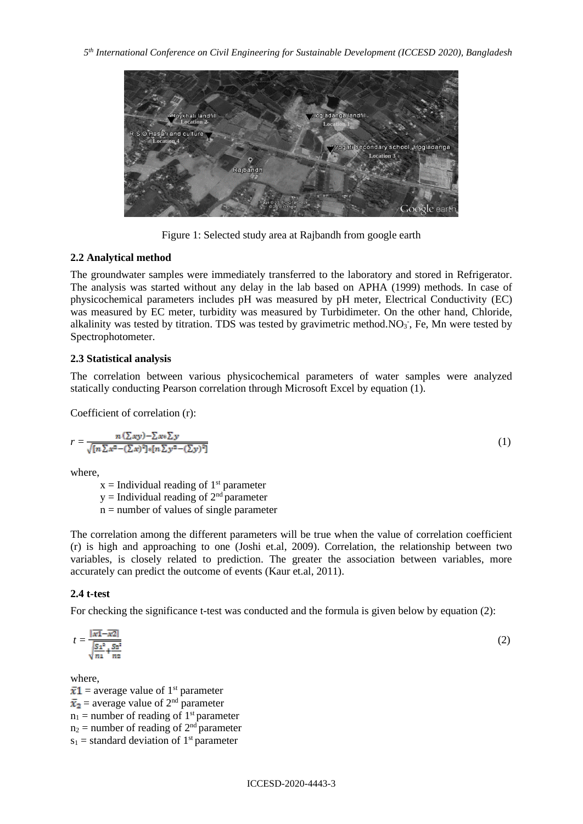

Figure 1: Selected study area at Rajbandh from google earth

# **2.2 Analytical method**

The groundwater samples were immediately transferred to the laboratory and stored in Refrigerator. The analysis was started without any delay in the lab based on APHA (1999) methods. In case of physicochemical parameters includes pH was measured by pH meter, Electrical Conductivity (EC) was measured by EC meter, turbidity was measured by Turbidimeter. On the other hand, Chloride, alkalinity was tested by titration. TDS was tested by gravimetric method. NO<sub>3</sub>, Fe, Mn were tested by Spectrophotometer.

# **2.3 Statistical analysis**

The correlation between various physicochemical parameters of water samples were analyzed statically conducting Pearson correlation through Microsoft Excel by equation (1).

Coefficient of correlation (r):

$$
r = \frac{n(\sum xy) - \sum x \sum y}{\sqrt{[n \sum x^2 - (\sum x)^2] \cdot [n \sum y^2 - (\sum y)^2]}}
$$
(1)

where,

 $x =$  Individual reading of  $1<sup>st</sup>$  parameter

 $y =$  Individual reading of  $2<sup>nd</sup>$  parameter  $n =$  number of values of single parameter

The correlation among the different parameters will be true when the value of correlation coefficient (r) is high and approaching to one (Joshi et.al, 2009). Correlation, the relationship between two variables, is closely related to prediction. The greater the association between variables, more accurately can predict the outcome of events (Kaur et.al, 2011).

# **2.4 t-test**

For checking the significance t-test was conducted and the formula is given below by equation (2):

$$
t = \frac{|\overline{x_1} - \overline{x_2}|}{\sqrt{\frac{S_1^2}{n_1} + \frac{S_2^2}{n_2}}}
$$
(2)

where,

 $\bar{x}$ 1 = average value of 1<sup>st</sup> parameter  $\bar{x}_2$  = average value of 2<sup>nd</sup> parameter  $n_1$  = number of reading of 1<sup>st</sup> parameter  $n_2$  = number of reading of  $2<sup>nd</sup>$  parameter  $s_1$  = standard deviation of 1<sup>st</sup> parameter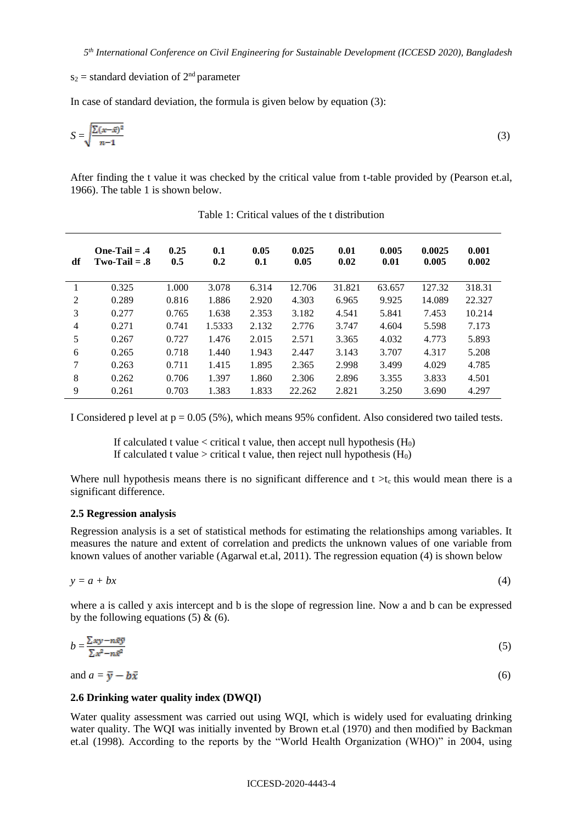$s_2$  = standard deviation of  $2<sup>nd</sup>$  parameter

In case of standard deviation, the formula is given below by equation (3):

$$
S = \sqrt{\frac{\sum (x - \bar{x})^2}{n - 1}}\tag{3}
$$

After finding the t value it was checked by the critical value from t-table provided by (Pearson et.al, 1966). The table 1 is shown below.

| df             | $One-Tail = .4$<br>$Two-Tail = .8$ | 0.25<br>0.5 | 0.1<br>0.2 | 0.05<br>0.1 | 0.025<br>0.05 | 0.01<br>0.02 | 0.005<br>0.01 | 0.0025<br>0.005 | 0.001<br>0.002 |
|----------------|------------------------------------|-------------|------------|-------------|---------------|--------------|---------------|-----------------|----------------|
|                | 0.325                              | 1.000       | 3.078      | 6.314       | 12.706        | 31.821       | 63.657        | 127.32          | 318.31         |
| 2              | 0.289                              | 0.816       | 1.886      | 2.920       | 4.303         | 6.965        | 9.925         | 14.089          | 22.327         |
| 3              | 0.277                              | 0.765       | 1.638      | 2.353       | 3.182         | 4.541        | 5.841         | 7.453           | 10.214         |
| $\overline{4}$ | 0.271                              | 0.741       | 1.5333     | 2.132       | 2.776         | 3.747        | 4.604         | 5.598           | 7.173          |
| 5              | 0.267                              | 0.727       | 1.476      | 2.015       | 2.571         | 3.365        | 4.032         | 4.773           | 5.893          |
| 6              | 0.265                              | 0.718       | 1.440      | 1.943       | 2.447         | 3.143        | 3.707         | 4.317           | 5.208          |
| 7              | 0.263                              | 0.711       | 1.415      | 1.895       | 2.365         | 2.998        | 3.499         | 4.029           | 4.785          |
| 8              | 0.262                              | 0.706       | 1.397      | 1.860       | 2.306         | 2.896        | 3.355         | 3.833           | 4.501          |
| 9              | 0.261                              | 0.703       | 1.383      | 1.833       | 22.262        | 2.821        | 3.250         | 3.690           | 4.297          |

Table 1: Critical values of the t distribution

I Considered p level at  $p = 0.05$  (5%), which means 95% confident. Also considered two tailed tests.

If calculated t value  $\langle$  critical t value, then accept null hypothesis (H<sub>0</sub>) If calculated t value > critical t value, then reject null hypothesis  $(H_0)$ 

Where null hypothesis means there is no significant difference and  $t > t_c$  this would mean there is a significant difference.

#### **2.5 Regression analysis**

Regression analysis is a set of statistical methods for estimating the relationships among variables. It measures the nature and extent of correlation and predicts the unknown values of one variable from known values of another variable (Agarwal et.al, 2011). The regression equation (4) is shown below

$$
y = a + bx \tag{4}
$$

where a is called y axis intercept and b is the slope of regression line. Now a and b can be expressed by the following equations  $(5)$  &  $(6)$ .

$$
b = \frac{\sum xy - n\bar{x}\bar{y}}{\sum x^2 - n\bar{x}^2} \tag{5}
$$

and  $a = \overline{y} - b\overline{x}$  (6)

#### **2.6 Drinking water quality index (DWQI)**

Water quality assessment was carried out using WQI, which is widely used for evaluating drinking water quality. The WQI was initially invented by Brown et.al (1970) and then modified by Backman et.al (1998). According to the reports by the "World Health Organization (WHO)" in 2004, using

#### ICCESD-2020-4443-4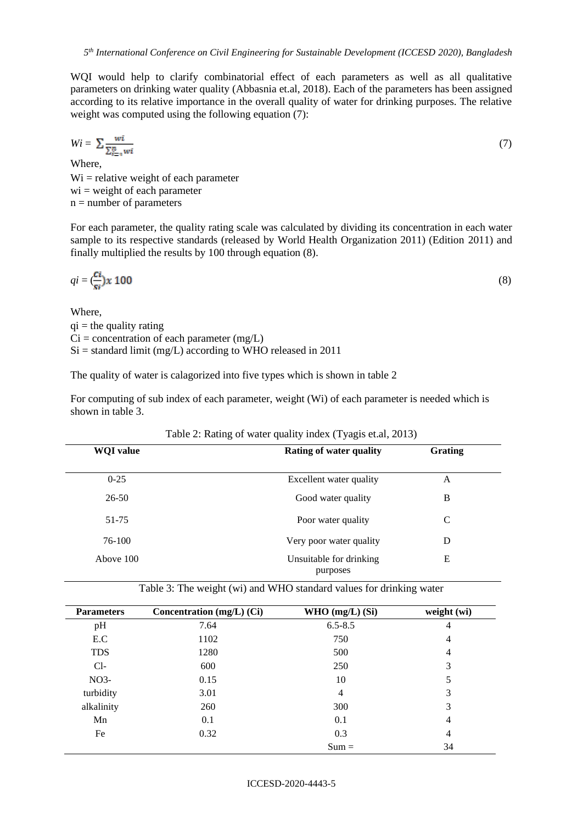WQI would help to clarify combinatorial effect of each parameters as well as all qualitative parameters on drinking water quality (Abbasnia et.al, 2018). Each of the parameters has been assigned according to its relative importance in the overall quality of water for drinking purposes. The relative weight was computed using the following equation (7):

$$
Wi = \sum \frac{wi}{\sum_{i=1}^{n} wi} \tag{7}
$$

Where,  $Wi = relative weight of each parameter$  $wi = weight of each parameter$  $n =$  number of parameters

For each parameter, the quality rating scale was calculated by dividing its concentration in each water sample to its respective standards (released by World Health Organization 2011) (Edition 2011) and finally multiplied the results by 100 through equation (8).

$$
qi = \frac{Ci}{si} x 100
$$
 (8)

Where,  $qi =$  the quality rating  $Ci = concentration of each parameter (mg/L)$  $Si =$  standard limit (mg/L) according to WHO released in 2011

The quality of water is calagorized into five types which is shown in table 2

For computing of sub index of each parameter, weight (Wi) of each parameter is needed which is shown in table 3.

| <b>WQI</b> value | <b>Rating of water quality</b>      | Grating |  |
|------------------|-------------------------------------|---------|--|
| $0 - 25$         | Excellent water quality             | A       |  |
| $26 - 50$        | Good water quality                  | B       |  |
| 51-75            | Poor water quality                  | C       |  |
| 76-100           | Very poor water quality             | D       |  |
| Above 100        | Unsuitable for drinking<br>purposes | E       |  |

Table 3: The weight (wi) and WHO standard values for drinking water

| <b>Parameters</b> | Concentration (mg/L) (Ci) | WHO $(mg/L)$ (Si) | weight (wi) |
|-------------------|---------------------------|-------------------|-------------|
| pH                | 7.64                      | $6.5 - 8.5$       | 4           |
| E.C               | 1102                      | 750               | 4           |
| <b>TDS</b>        | 1280                      | 500               | 4           |
| $Cl-$             | 600                       | 250               | 3           |
| NO <sub>3</sub>   | 0.15                      | 10                | 5           |
| turbidity         | 3.01                      | 4                 | 3           |
| alkalinity        | 260                       | 300               | 3           |
| Mn                | 0.1                       | 0.1               | 4           |
| Fe                | 0.32                      | 0.3               | 4           |
|                   |                           | $Sum =$           | 34          |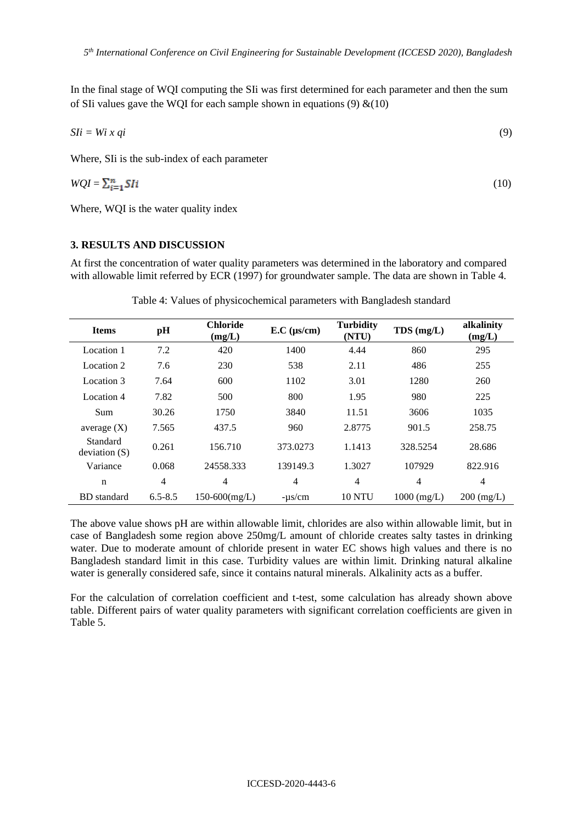In the final stage of WQI computing the SIi was first determined for each parameter and then the sum of SIi values gave the WOI for each sample shown in equations (9)  $\&(10)$ 

$$
S1i = Wi \; x \; qi \tag{9}
$$

Where, SIi is the sub-index of each parameter

$$
WQI = \sum_{i=1}^{n} SIi
$$
 (10)

Where, WQI is the water quality index

### **3. RESULTS AND DISCUSSION**

At first the concentration of water quality parameters was determined in the laboratory and compared with allowable limit referred by ECR (1997) for groundwater sample. The data are shown in Table 4.

| <b>Items</b>             | pH          | <b>Chloride</b><br>(mg/L) | $E.C$ ( $\mu$ s/cm) | <b>Turbidity</b><br>(NTU) | $TDS$ (mg/L)    | alkalinity<br>(mg/L) |
|--------------------------|-------------|---------------------------|---------------------|---------------------------|-----------------|----------------------|
| Location 1               | 7.2         | 420                       | 1400                | 4.44                      | 860             | 295                  |
| Location 2               | 7.6         | 230                       | 538                 | 2.11                      | 486             | 255                  |
| Location 3               | 7.64        | 600                       | 1102                | 3.01                      | 1280            | 260                  |
| Location 4               | 7.82        | 500                       | 800                 | 1.95                      | 980             | 225                  |
| Sum                      | 30.26       | 1750                      | 3840                | 11.51                     | 3606            | 1035                 |
| average $(X)$            | 7.565       | 437.5                     | 960                 | 2.8775                    | 901.5           | 258.75               |
| Standard<br>deviation(S) | 0.261       | 156.710                   | 373.0273            | 1.1413                    | 328.5254        | 28.686               |
| Variance                 | 0.068       | 24558.333                 | 139149.3            | 1.3027                    | 107929          | 822.916              |
| n                        | 4           | 4                         | 4                   | $\overline{4}$            | 4               | 4                    |
| <b>BD</b> standard       | $6.5 - 8.5$ | $150-600$ (mg/L)          | $-\mu s/cm$         | <b>10 NTU</b>             | $1000 \ (mg/L)$ | $200 \ (mg/L)$       |

Table 4: Values of physicochemical parameters with Bangladesh standard

The above value shows pH are within allowable limit, chlorides are also within allowable limit, but in case of Bangladesh some region above 250mg/L amount of chloride creates salty tastes in drinking water. Due to moderate amount of chloride present in water EC shows high values and there is no Bangladesh standard limit in this case. Turbidity values are within limit. Drinking natural alkaline water is generally considered safe, since it contains natural minerals. Alkalinity acts as a buffer.

For the calculation of correlation coefficient and t-test, some calculation has already shown above table. Different pairs of water quality parameters with significant correlation coefficients are given in Table 5.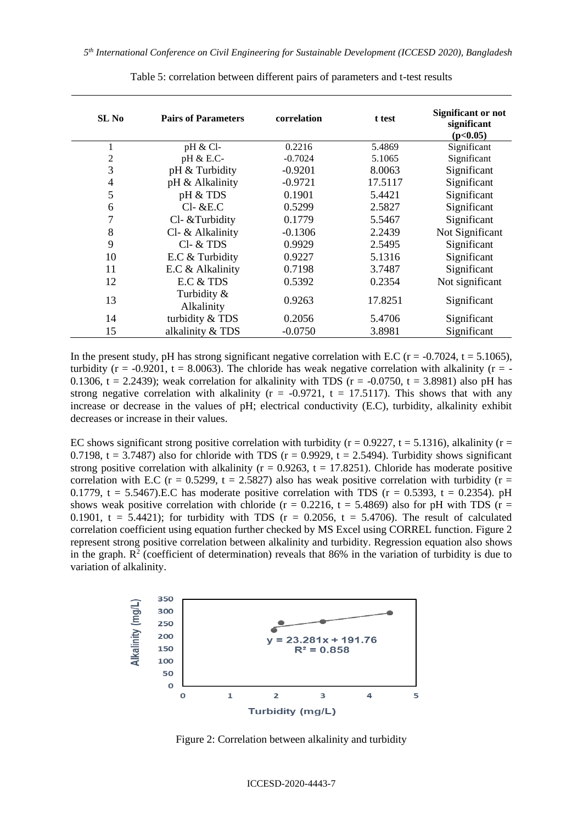| SL No          | <b>Pairs of Parameters</b> | correlation | t test  | <b>Significant or not</b><br>significant<br>(p<0.05) |
|----------------|----------------------------|-------------|---------|------------------------------------------------------|
| 1              | pH & Cl                    | 0.2216      | 5.4869  | Significant                                          |
| $\overline{c}$ | pH & E.C-                  | $-0.7024$   | 5.1065  | Significant                                          |
| 3              | pH & Turbidity             | $-0.9201$   | 8.0063  | Significant                                          |
| $\overline{4}$ | pH & Alkalinity            | $-0.9721$   | 17.5117 | Significant                                          |
| 5              | pH & TDS                   | 0.1901      | 5.4421  | Significant                                          |
| 6              | $Cl-$ &E.C                 | 0.5299      | 2.5827  | Significant                                          |
| 7              | Cl- & Turbidity            | 0.1779      | 5.5467  | Significant                                          |
| 8              | Cl- & Alkalinity           | $-0.1306$   | 2.2439  | Not Significant                                      |
| 9              | $Cl - &$ TDS               | 0.9929      | 2.5495  | Significant                                          |
| 10             | E.C & Turbidity            | 0.9227      | 5.1316  | Significant                                          |
| 11             | E.C & Alkalinity           | 0.7198      | 3.7487  | Significant                                          |
| 12             | E.C & TDS                  | 0.5392      | 0.2354  | Not significant                                      |
| 13             | Turbidity &<br>Alkalinity  | 0.9263      | 17.8251 | Significant                                          |
| 14             | turbidity & TDS            | 0.2056      | 5.4706  | Significant                                          |
| 15             | alkalinity & TDS           | $-0.0750$   | 3.8981  | Significant                                          |

Table 5: correlation between different pairs of parameters and t-test results

In the present study, pH has strong significant negative correlation with E.C ( $r = -0.7024$ ,  $t = 5.1065$ ), turbidity ( $r = -0.9201$ ,  $t = 8.0063$ ). The chloride has weak negative correlation with alkalinity ( $r = -1$ ) 0.1306, t = 2.2439); weak correlation for alkalinity with TDS ( $r = -0.0750$ ,  $t = 3.8981$ ) also pH has strong negative correlation with alkalinity ( $r = -0.9721$ ,  $t = 17.5117$ ). This shows that with any increase or decrease in the values of pH; electrical conductivity (E.C), turbidity, alkalinity exhibit decreases or increase in their values.

EC shows significant strong positive correlation with turbidity ( $r = 0.9227$ ,  $t = 5.1316$ ), alkalinity ( $r =$ 0.7198, t = 3.7487) also for chloride with TDS ( $r = 0.9929$ ,  $t = 2.5494$ ). Turbidity shows significant strong positive correlation with alkalinity ( $r = 0.9263$ ,  $t = 17.8251$ ). Chloride has moderate positive correlation with E.C ( $r = 0.5299$ ,  $t = 2.5827$ ) also has weak positive correlation with turbidity ( $r =$ 0.1779, t = 5.5467).E.C has moderate positive correlation with TDS ( $r = 0.5393$ , t = 0.2354). pH shows weak positive correlation with chloride ( $r = 0.2216$ ,  $t = 5.4869$ ) also for pH with TDS ( $r =$ 0.1901, t = 5.4421); for turbidity with TDS ( $r = 0.2056$ , t = 5.4706). The result of calculated correlation coefficient using equation further checked by MS Excel using CORREL function. Figure 2 represent strong positive correlation between alkalinity and turbidity. Regression equation also shows in the graph.  $\mathbb{R}^2$  (coefficient of determination) reveals that 86% in the variation of turbidity is due to variation of alkalinity.



Figure 2: Correlation between alkalinity and turbidity

#### ICCESD-2020-4443-7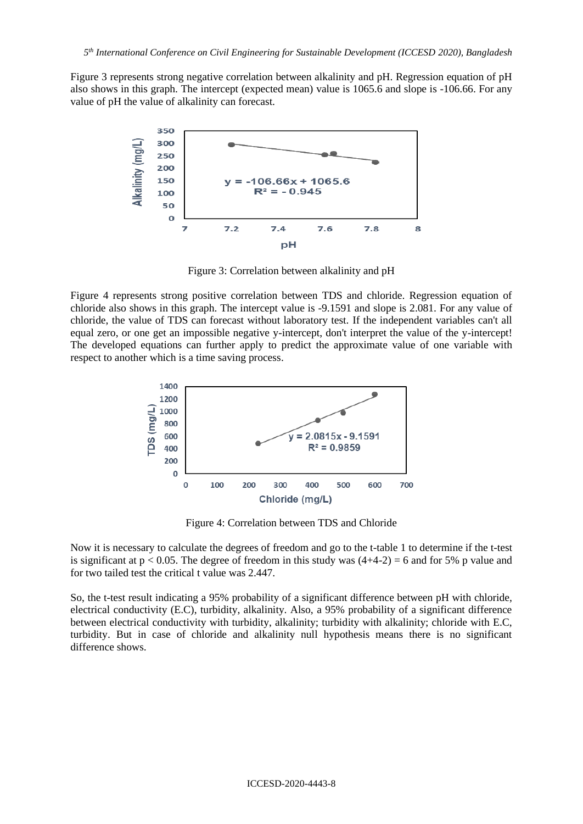Figure 3 represents strong negative correlation between alkalinity and pH. Regression equation of pH also shows in this graph. The intercept (expected mean) value is 1065.6 and slope is -106.66. For any value of pH the value of alkalinity can forecast.



Figure 3: Correlation between alkalinity and pH

Figure 4 represents strong positive correlation between TDS and chloride. Regression equation of chloride also shows in this graph. The intercept value is -9.1591 and slope is 2.081. For any value of chloride, the value of TDS can forecast without laboratory test. If the independent variables can't all equal zero, or one get an impossible negative y-intercept, don't interpret the value of the y-intercept! The developed equations can further apply to predict the approximate value of one variable with respect to another which is a time saving process.



Figure 4: Correlation between TDS and Chloride

Now it is necessary to calculate the degrees of freedom and go to the t-table 1 to determine if the t-test is significant at  $p < 0.05$ . The degree of freedom in this study was  $(4+4-2) = 6$  and for 5% p value and for two tailed test the critical t value was 2.447.

So, the t-test result indicating a 95% probability of a significant difference between pH with chloride, electrical conductivity (E.C), turbidity, alkalinity. Also, a 95% probability of a significant difference between electrical conductivity with turbidity, alkalinity; turbidity with alkalinity; chloride with E.C, turbidity. But in case of chloride and alkalinity null hypothesis means there is no significant difference shows.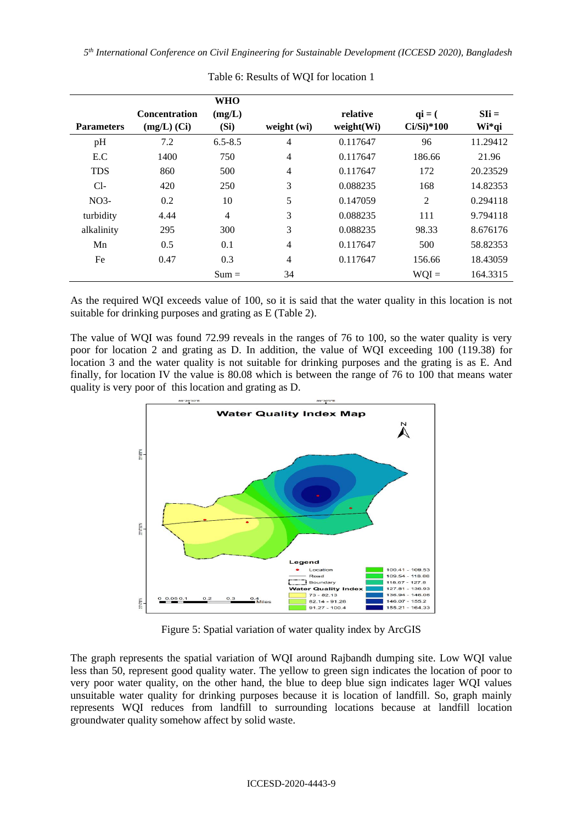*5 th International Conference on Civil Engineering for Sustainable Development (ICCESD 2020), Bangladesh*

| <b>Parameters</b> | <b>Concentration</b><br>$(mg/L)$ (Ci) | <b>WHO</b><br>(mg/L)<br>(Si) | weight (wi)    | relative<br>weight(Wi) | $q\mathbf{i} = ($<br>$Ci/Si)*100$ | $SIi =$<br>Wi*qi |
|-------------------|---------------------------------------|------------------------------|----------------|------------------------|-----------------------------------|------------------|
| pH                | 7.2                                   | $6.5 - 8.5$                  | 4              | 0.117647               | 96                                | 11.29412         |
| E.C               | 1400                                  | 750                          | $\overline{4}$ | 0.117647               | 186.66                            | 21.96            |
| <b>TDS</b>        | 860                                   | 500                          | 4              | 0.117647               | 172                               | 20.23529         |
| $Cl-$             | 420                                   | 250                          | 3              | 0.088235               | 168                               | 14.82353         |
| NO <sub>3</sub>   | 0.2                                   | 10                           | 5              | 0.147059               | $\overline{2}$                    | 0.294118         |
| turbidity         | 4.44                                  | 4                            | 3              | 0.088235               | 111                               | 9.794118         |
| alkalinity        | 295                                   | 300                          | 3              | 0.088235               | 98.33                             | 8.676176         |
| Mn                | 0.5                                   | 0.1                          | $\overline{4}$ | 0.117647               | 500                               | 58.82353         |
| Fe                | 0.47                                  | 0.3                          | 4              | 0.117647               | 156.66                            | 18.43059         |
|                   |                                       | $Sum =$                      | 34             |                        | $WQI =$                           | 164.3315         |

Table 6: Results of WQI for location 1

As the required WQI exceeds value of 100, so it is said that the water quality in this location is not suitable for drinking purposes and grating as E (Table 2).

The value of WQI was found 72.99 reveals in the ranges of 76 to 100, so the water quality is very poor for location 2 and grating as D. In addition, the value of WQI exceeding 100 (119.38) for location 3 and the water quality is not suitable for drinking purposes and the grating is as E. And finally, for location IV the value is 80.08 which is between the range of 76 to 100 that means water quality is very poor of this location and grating as D.



Figure 5: Spatial variation of water quality index by ArcGIS

The graph represents the spatial variation of WQI around Rajbandh dumping site. Low WQI value less than 50, represent good quality water. The yellow to green sign indicates the location of poor to very poor water quality, on the other hand, the blue to deep blue sign indicates lager WQI values unsuitable water quality for drinking purposes because it is location of landfill. So, graph mainly represents WQI reduces from landfill to surrounding locations because at landfill location groundwater quality somehow affect by solid waste.